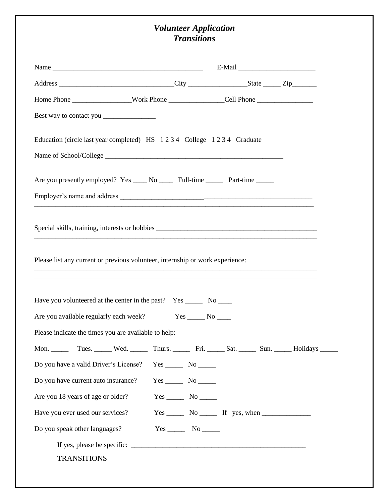## *Volunteer Application Transitions*

| Home Phone Nork Phone Cell Phone Cell Phone                                                                                                                                                                                                                                                |                    |                                                                     |  |
|--------------------------------------------------------------------------------------------------------------------------------------------------------------------------------------------------------------------------------------------------------------------------------------------|--------------------|---------------------------------------------------------------------|--|
|                                                                                                                                                                                                                                                                                            |                    |                                                                     |  |
| Education (circle last year completed) HS 1234 College 1234 Graduate                                                                                                                                                                                                                       |                    |                                                                     |  |
|                                                                                                                                                                                                                                                                                            |                    |                                                                     |  |
| Are you presently employed? Yes _____ No _______ Full-time ________ Part-time ______                                                                                                                                                                                                       |                    |                                                                     |  |
|                                                                                                                                                                                                                                                                                            |                    |                                                                     |  |
| Special skills, training, interests or hobbies __________________________________                                                                                                                                                                                                          |                    |                                                                     |  |
| Please list any current or previous volunteer, internship or work experience:<br>,我们就会在这里的时候,我们就会在这里的时候,我们就会在这里的时候,我们就会在这里的时候,我们就会在这里的时候,我们就会在这里的时候,我们就会在这里的时候,我们<br><u> 1989 - Johann Stoff, deutscher Stoff, der Stoff, der Stoff, der Stoff, der Stoff, der Stoff, der Stoff, der S</u> |                    |                                                                     |  |
| Have you volunteered at the center in the past? Yes ________ No ______                                                                                                                                                                                                                     |                    |                                                                     |  |
| Are you available regularly each week? Yes ______ No _____                                                                                                                                                                                                                                 |                    |                                                                     |  |
| Please indicate the times you are available to help:                                                                                                                                                                                                                                       |                    |                                                                     |  |
|                                                                                                                                                                                                                                                                                            |                    |                                                                     |  |
| Do you have a valid Driver's License?                                                                                                                                                                                                                                                      | $Yes$ No $\_\_\_\$ |                                                                     |  |
| Do you have current auto insurance?                                                                                                                                                                                                                                                        |                    |                                                                     |  |
| Are you 18 years of age or older?                                                                                                                                                                                                                                                          |                    |                                                                     |  |
| Have you ever used our services?                                                                                                                                                                                                                                                           |                    | $Yes \_\_\_\_$ No $\_\_\_\$ If yes, when $\_\_\_\_\_\_\_\_\_\_\_\_$ |  |
| Do you speak other languages?                                                                                                                                                                                                                                                              | $Yes$ No $\_\_\_\$ |                                                                     |  |
|                                                                                                                                                                                                                                                                                            |                    |                                                                     |  |
| <b>TRANSITIONS</b>                                                                                                                                                                                                                                                                         |                    |                                                                     |  |